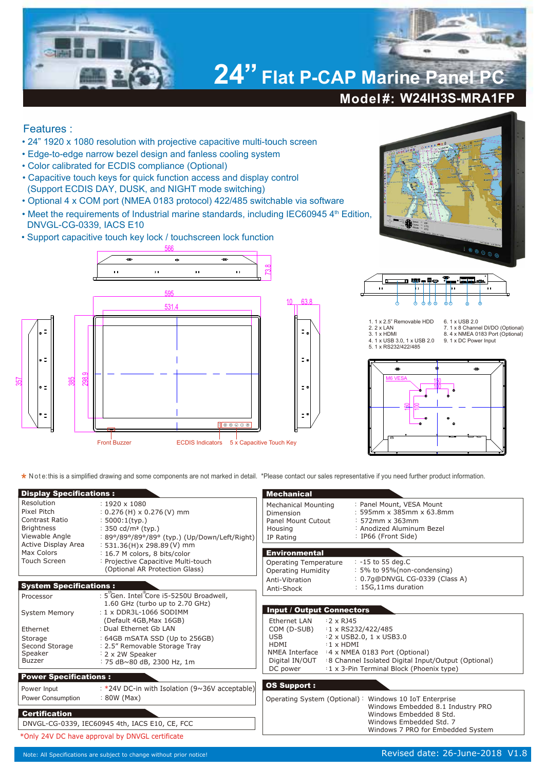

## Features :

- 24" 1920 x 1080 resolution with projective capacitive multi-touch screen
- Edge-to-edge narrow bezel design and fanless cooling system
- Color calibrated for ECDIS compliance (Optional)
- Capacitive touch keys for quick function access and display control (Support ECDIS DAY, DUSK, and NIGHT mode switching)
- Optional 4 x COM port (NMEA 0183 protocol) 422/485 switchable via software
- Meet the requirements of Industrial marine standards, including IEC60945 4<sup>th</sup> Edition, DNVGL-CG-0339, IACS E10
- Support capacitive touch key lock / touchscreen lock function







## 1. 1 x 2.5" Removable HDD 2. 2 x LAN 3. 1 x HDMI 4. 1 x USB 3.0, 1 x USB 2.0 5. 1 x RS232/422/485

6. 1 x USB 2.0 7. 1 x 8 Channel DI/DO (Optional) 8. 4 x NMEA 0183 Port (Optional) 9. 1 x DC Power Input



**\*** Note: this is a simplified drawing and some components are not marked in detail. \*Please contact our sales representative if you need further product information.

| <b>Display Specifications:</b>                                                                                            |                                                                                                                                                                                                                                                                                        | <b>Mechanical</b>                                                                                                                                                                                                                                                                                                 |                                                                                                                                 |
|---------------------------------------------------------------------------------------------------------------------------|----------------------------------------------------------------------------------------------------------------------------------------------------------------------------------------------------------------------------------------------------------------------------------------|-------------------------------------------------------------------------------------------------------------------------------------------------------------------------------------------------------------------------------------------------------------------------------------------------------------------|---------------------------------------------------------------------------------------------------------------------------------|
| Resolution<br>Pixel Pitch<br>Contrast Ratio<br><b>Brightness</b><br>Viewable Angle                                        | $: 1920 \times 1080$<br>$: 0.276$ (H) x 0.276 (V) mm<br>$: 5000:1$ (typ.)<br>: 350 cd/m <sup>2</sup> (typ.)<br>: 89°/89°/89°/89° (typ.) (Up/Down/Left/Right)                                                                                                                           | <b>Mechanical Mounting</b><br>Dimension<br>Panel Mount Cutout<br>Housing<br>IP Rating                                                                                                                                                                                                                             | : Panel Mount, VESA Mount<br>: 595mm x 385mm x 63.8mm<br>$: 572$ mm x 363mm<br>: Anodized Aluminum Bezel<br>: IP66 (Front Side) |
| Active Display Area<br>Max Colors<br>Touch Screen                                                                         | $: 531.36(H)x 298.89(V)$ mm<br>: 16.7 M colors, 8 bits/color<br>: Projective Capacitive Multi-touch<br>(Optional AR Protection Glass)                                                                                                                                                  | <b>Environmental</b><br>Operating Temperature<br><b>Operating Humidity</b>                                                                                                                                                                                                                                        | : -15 to 55 deg.C<br>: 5% to 95%(non-condensing)                                                                                |
| <b>System Specifications:</b>                                                                                             |                                                                                                                                                                                                                                                                                        | Anti-Vibration<br>Anti-Shock                                                                                                                                                                                                                                                                                      | : 0.7q@DNVGL CG-0339 (Class A)<br>: 15G,11ms duration                                                                           |
| Processor<br><b>System Memory</b><br>Ethernet<br>Storage<br>Second Storage<br>Speaker<br><b>Buzzer</b>                    | : 5 Gen. Intel Core i5-5250U Broadwell,<br>1.60 GHz (turbo up to 2.70 GHz)<br>: $1 \times$ DDR3L-1066 SODIMM<br>(Default 4GB, Max 16GB)<br>: Dual Ethernet Gb LAN<br>: 64GB mSATA SSD (Up to 256GB)<br>: 2.5" Removable Storage Tray<br>: 2 x 2W Speaker<br>: 75 dB~80 dB, 2300 Hz, 1m | <b>Input / Output Connectors</b><br>Ethernet LAN<br>$:2 \times R$ 345<br>$:1 \times$ RS232/422/485<br>COM (D-SUB)<br><b>USB</b><br>:2 x USB2.0, 1 x USB3.0<br>HDMI<br>$:1 \times$ HDMI<br>NMEA Interface : 4 x NMEA 0183 Port (Optional)<br>:8 Channel Isolated Digital Input/Output (Optional)<br>Digital IN/OUT |                                                                                                                                 |
| <b>Power Specifications:</b>                                                                                              |                                                                                                                                                                                                                                                                                        | DC power                                                                                                                                                                                                                                                                                                          | : 1 x 3-Pin Terminal Block (Phoenix type)                                                                                       |
| Power Input<br>Power Consumption                                                                                          | : *24V DC-in with Isolation (9~36V acceptable)<br>$: 80W$ (Max)                                                                                                                                                                                                                        | <b>OS Support:</b><br>Operating System (Optional): Windows 10 IoT Enterprise<br>Windows Embedded 8.1 Industry PRO                                                                                                                                                                                                 |                                                                                                                                 |
| <b>Certification</b><br>DNVGL-CG-0339, IEC60945 4th, IACS E10, CE, FCC<br>*Only 24V DC have approval by DNVGL certificate |                                                                                                                                                                                                                                                                                        |                                                                                                                                                                                                                                                                                                                   | Windows Embedded 8 Std.<br>Windows Embedded Std. 7<br>Windows 7 PRO for Embedded System                                         |
|                                                                                                                           |                                                                                                                                                                                                                                                                                        |                                                                                                                                                                                                                                                                                                                   |                                                                                                                                 |